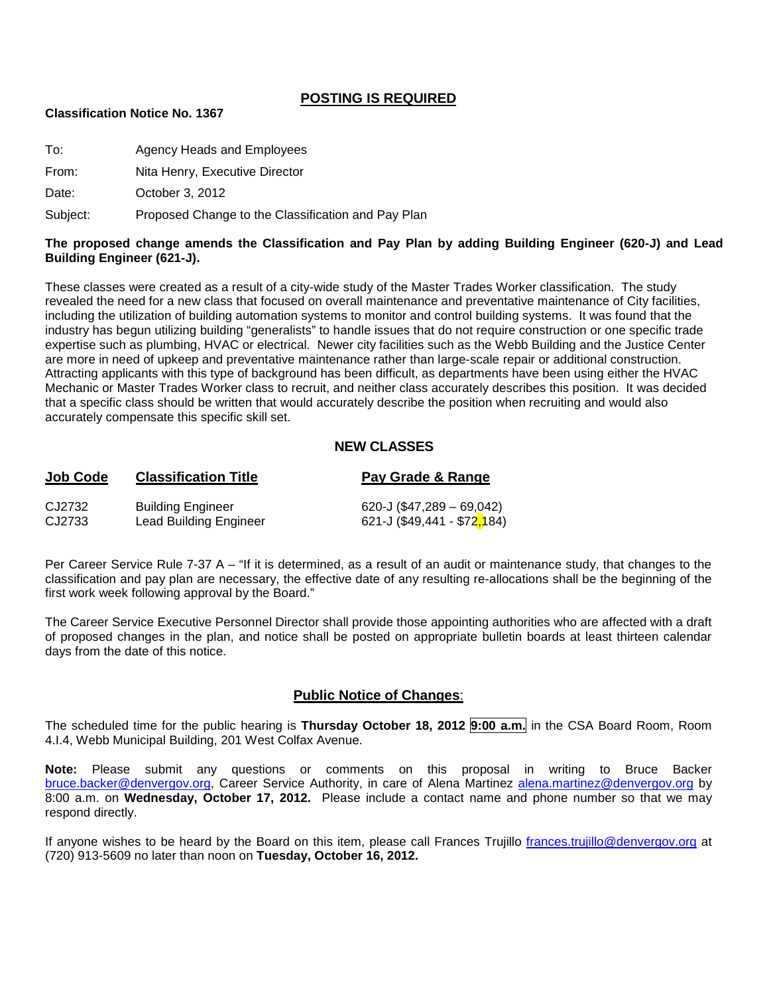#### **POSTING IS REQUIRED**

#### **Classification Notice No. 1367**

| To:   | Agency Heads and Employees     |
|-------|--------------------------------|
| From: | Nita Henry, Executive Director |
|       |                                |

Date: **October 3, 2012** 

Subject: Proposed Change to the Classification and Pay Plan

#### **The proposed change amends the Classification and Pay Plan by adding Building Engineer (620-J) and Lead Building Engineer (621-J).**

These classes were created as a result of a city-wide study of the Master Trades Worker classification. The study revealed the need for a new class that focused on overall maintenance and preventative maintenance of City facilities, including the utilization of building automation systems to monitor and control building systems. It was found that the industry has begun utilizing building "generalists" to handle issues that do not require construction or one specific trade expertise such as plumbing, HVAC or electrical. Newer city facilities such as the Webb Building and the Justice Center are more in need of upkeep and preventative maintenance rather than large-scale repair or additional construction. Attracting applicants with this type of background has been difficult, as departments have been using either the HVAC Mechanic or Master Trades Worker class to recruit, and neither class accurately describes this position. It was decided that a specific class should be written that would accurately describe the position when recruiting and would also accurately compensate this specific skill set.

#### **NEW CLASSES**

| <b>Job Code</b> | <b>Classification Title</b>   | Pay Grade & Range                          |
|-----------------|-------------------------------|--------------------------------------------|
| CJ2732          | <b>Building Engineer</b>      | 620-J (\$47,289 - 69,042)                  |
| CJ2733          | <b>Lead Building Engineer</b> | 621-J (\$49,441 - \$72 <mark>,</mark> 184) |

Per Career Service Rule 7-37 A – "If it is determined, as a result of an audit or maintenance study, that changes to the classification and pay plan are necessary, the effective date of any resulting re-allocations shall be the beginning of the first work week following approval by the Board."

The Career Service Executive Personnel Director shall provide those appointing authorities who are affected with a draft of proposed changes in the plan, and notice shall be posted on appropriate bulletin boards at least thirteen calendar days from the date of this notice.

#### **Public Notice of Changes**:

The scheduled time for the public hearing is **Thursday October 18, 2012 9:00 a.m.** in the CSA Board Room, Room 4.I.4, Webb Municipal Building, 201 West Colfax Avenue.

**Note:** Please submit any questions or comments on this proposal in writing to Bruce Backer [bruce.backer@denvergov.org,](mailto:bruce.backer@denvergov.org) Career Service Authority, in care of Alena Martinez [alena.martinez@denvergov.org](mailto:alena.martinez@denvergov.org) by 8:00 a.m. on **Wednesday, October 17, 2012.** Please include a contact name and phone number so that we may respond directly.

If anyone wishes to be heard by the Board on this item, please call Frances Trujillo [frances.trujillo@denvergov.org](mailto:frances.trujillo@denvergov.org) at (720) 913-5609 no later than noon on **Tuesday, October 16, 2012.**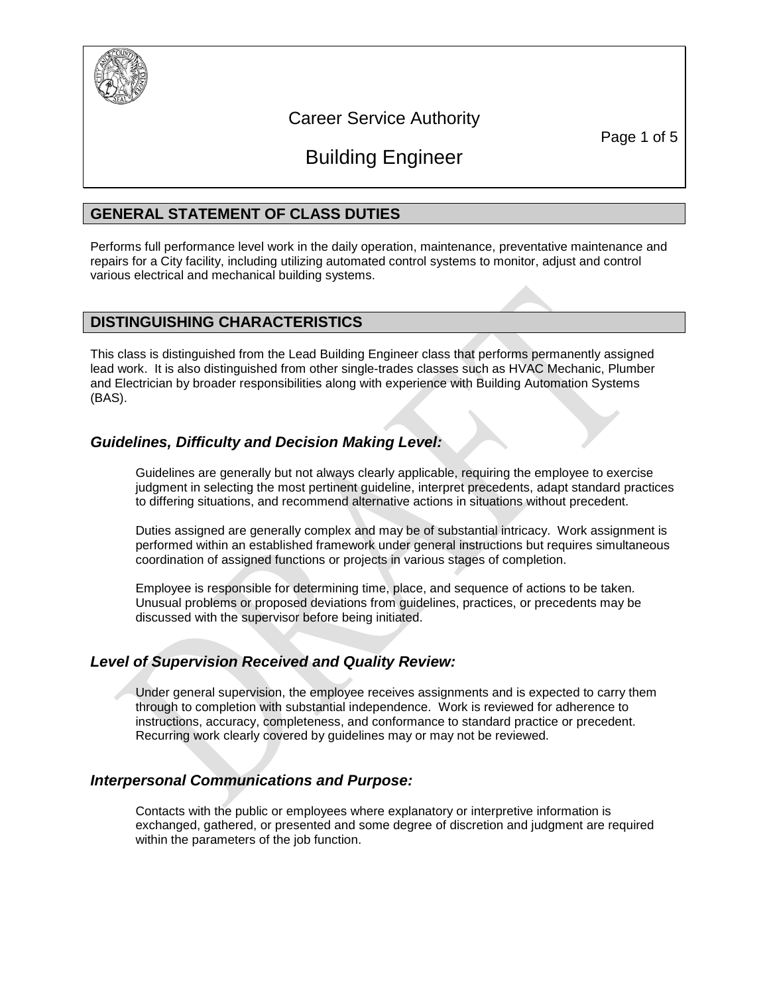

# Career Service Authority

Page 1 of 5

# Building Engineer

# **GENERAL STATEMENT OF CLASS DUTIES**

Performs full performance level work in the daily operation, maintenance, preventative maintenance and repairs for a City facility, including utilizing automated control systems to monitor, adjust and control various electrical and mechanical building systems.

#### **DISTINGUISHING CHARACTERISTICS**

This class is distinguished from the Lead Building Engineer class that performs permanently assigned lead work. It is also distinguished from other single-trades classes such as HVAC Mechanic, Plumber and Electrician by broader responsibilities along with experience with Building Automation Systems (BAS).

# *Guidelines, Difficulty and Decision Making Level:*

Guidelines are generally but not always clearly applicable, requiring the employee to exercise judgment in selecting the most pertinent guideline, interpret precedents, adapt standard practices to differing situations, and recommend alternative actions in situations without precedent.

Duties assigned are generally complex and may be of substantial intricacy. Work assignment is performed within an established framework under general instructions but requires simultaneous coordination of assigned functions or projects in various stages of completion.

Employee is responsible for determining time, place, and sequence of actions to be taken. Unusual problems or proposed deviations from guidelines, practices, or precedents may be discussed with the supervisor before being initiated.

# *Level of Supervision Received and Quality Review:*

Under general supervision, the employee receives assignments and is expected to carry them through to completion with substantial independence. Work is reviewed for adherence to instructions, accuracy, completeness, and conformance to standard practice or precedent. Recurring work clearly covered by guidelines may or may not be reviewed.

# *Interpersonal Communications and Purpose:*

Contacts with the public or employees where explanatory or interpretive information is exchanged, gathered, or presented and some degree of discretion and judgment are required within the parameters of the job function.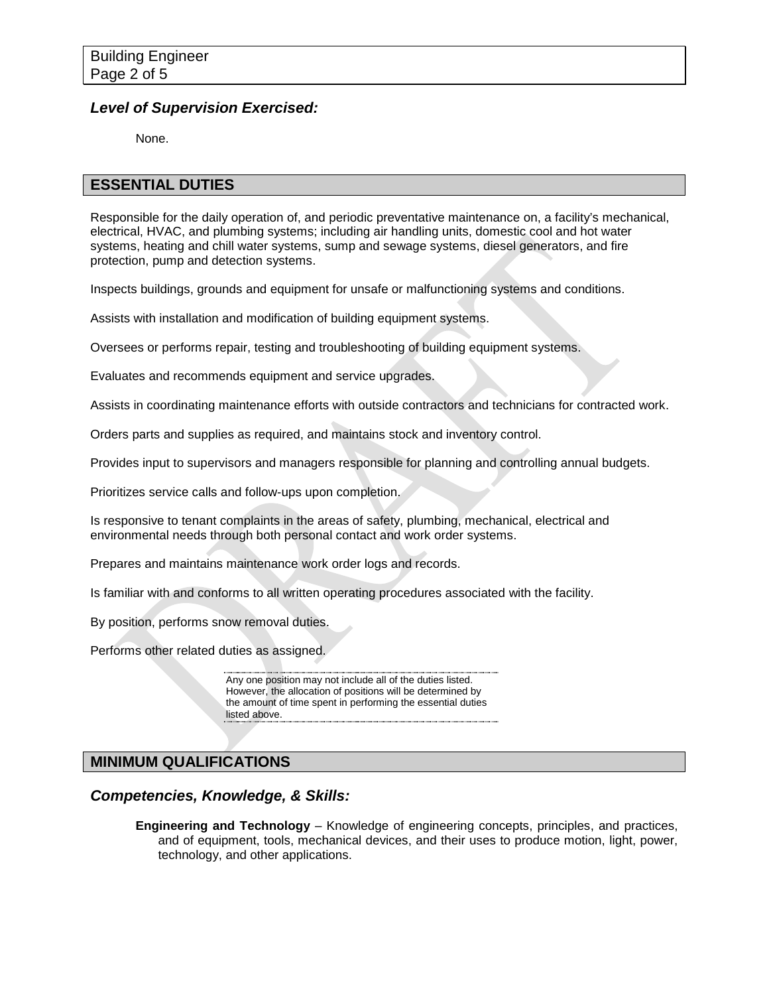#### *Level of Supervision Exercised:*

None.

#### **ESSENTIAL DUTIES**

Responsible for the daily operation of, and periodic preventative maintenance on, a facility's mechanical, electrical, HVAC, and plumbing systems; including air handling units, domestic cool and hot water systems, heating and chill water systems, sump and sewage systems, diesel generators, and fire protection, pump and detection systems.

Inspects buildings, grounds and equipment for unsafe or malfunctioning systems and conditions.

Assists with installation and modification of building equipment systems.

Oversees or performs repair, testing and troubleshooting of building equipment systems.

Evaluates and recommends equipment and service upgrades.

Assists in coordinating maintenance efforts with outside contractors and technicians for contracted work.

Orders parts and supplies as required, and maintains stock and inventory control.

Provides input to supervisors and managers responsible for planning and controlling annual budgets.

Prioritizes service calls and follow-ups upon completion.

Is responsive to tenant complaints in the areas of safety, plumbing, mechanical, electrical and environmental needs through both personal contact and work order systems.

Prepares and maintains maintenance work order logs and records.

Is familiar with and conforms to all written operating procedures associated with the facility.

By position, performs snow removal duties.

Performs other related duties as assigned.

Any one position may not include all of the duties listed. However, the allocation of positions will be determined by the amount of time spent in performing the essential duties listed above.

# **MINIMUM QUALIFICATIONS**

#### *Competencies, Knowledge, & Skills:*

**Engineering and Technology** – Knowledge of engineering concepts, principles, and practices, and of equipment, tools, mechanical devices, and their uses to produce motion, light, power, technology, and other applications.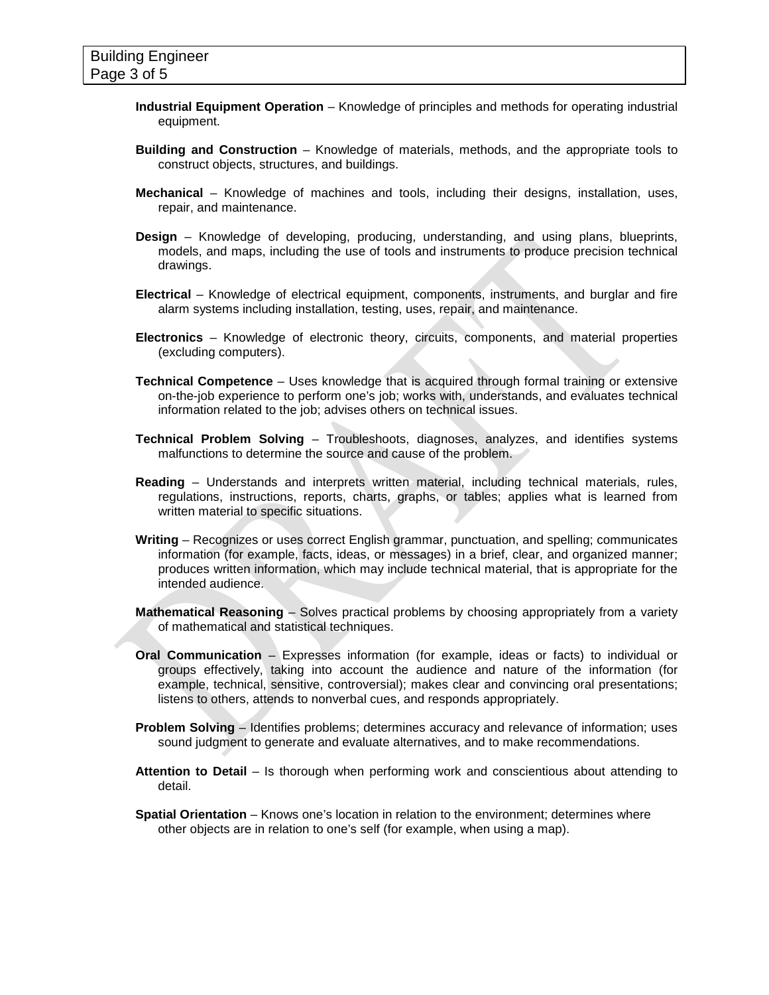- **Industrial Equipment Operation** Knowledge of principles and methods for operating industrial equipment.
- **Building and Construction** Knowledge of materials, methods, and the appropriate tools to construct objects, structures, and buildings.
- **Mechanical** Knowledge of machines and tools, including their designs, installation, uses, repair, and maintenance.
- **Design** Knowledge of developing, producing, understanding, and using plans, blueprints, models, and maps, including the use of tools and instruments to produce precision technical drawings.
- **Electrical** Knowledge of electrical equipment, components, instruments, and burglar and fire alarm systems including installation, testing, uses, repair, and maintenance.
- **Electronics** Knowledge of electronic theory, circuits, components, and material properties (excluding computers).
- **Technical Competence** Uses knowledge that is acquired through formal training or extensive on-the-job experience to perform one's job; works with, understands, and evaluates technical information related to the job; advises others on technical issues.
- **Technical Problem Solving** Troubleshoots, diagnoses, analyzes, and identifies systems malfunctions to determine the source and cause of the problem.
- **Reading**  Understands and interprets written material, including technical materials, rules, regulations, instructions, reports, charts, graphs, or tables; applies what is learned from written material to specific situations.
- **Writing** Recognizes or uses correct English grammar, punctuation, and spelling; communicates information (for example, facts, ideas, or messages) in a brief, clear, and organized manner; produces written information, which may include technical material, that is appropriate for the intended audience.
- **Mathematical Reasoning** Solves practical problems by choosing appropriately from a variety of mathematical and statistical techniques.
- **Oral Communication** Expresses information (for example, ideas or facts) to individual or groups effectively, taking into account the audience and nature of the information (for example, technical, sensitive, controversial); makes clear and convincing oral presentations; listens to others, attends to nonverbal cues, and responds appropriately.
- **Problem Solving** Identifies problems; determines accuracy and relevance of information; uses sound judgment to generate and evaluate alternatives, and to make recommendations.
- **Attention to Detail** Is thorough when performing work and conscientious about attending to detail.
- **Spatial Orientation** Knows one's location in relation to the environment; determines where other objects are in relation to one's self (for example, when using a map).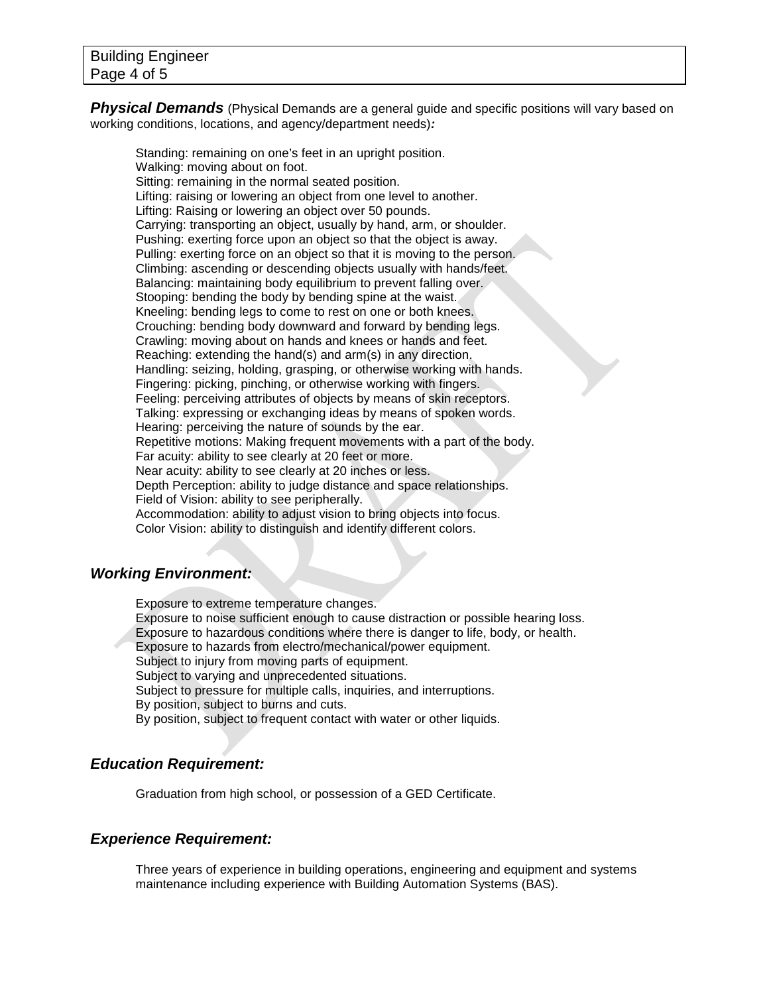**Physical Demands** (Physical Demands are a general guide and specific positions will vary based on working conditions, locations, and agency/department needs)*:*

Standing: remaining on one's feet in an upright position. Walking: moving about on foot. Sitting: remaining in the normal seated position. Lifting: raising or lowering an object from one level to another. Lifting: Raising or lowering an object over 50 pounds. Carrying: transporting an object, usually by hand, arm, or shoulder. Pushing: exerting force upon an object so that the object is away. Pulling: exerting force on an object so that it is moving to the person. Climbing: ascending or descending objects usually with hands/feet. Balancing: maintaining body equilibrium to prevent falling over. Stooping: bending the body by bending spine at the waist. Kneeling: bending legs to come to rest on one or both knees. Crouching: bending body downward and forward by bending legs. Crawling: moving about on hands and knees or hands and feet. Reaching: extending the hand(s) and arm(s) in any direction. Handling: seizing, holding, grasping, or otherwise working with hands. Fingering: picking, pinching, or otherwise working with fingers. Feeling: perceiving attributes of objects by means of skin receptors. Talking: expressing or exchanging ideas by means of spoken words. Hearing: perceiving the nature of sounds by the ear. Repetitive motions: Making frequent movements with a part of the body. Far acuity: ability to see clearly at 20 feet or more. Near acuity: ability to see clearly at 20 inches or less. Depth Perception: ability to judge distance and space relationships. Field of Vision: ability to see peripherally. Accommodation: ability to adjust vision to bring objects into focus. Color Vision: ability to distinguish and identify different colors.

# *Working Environment:*

Exposure to extreme temperature changes. Exposure to noise sufficient enough to cause distraction or possible hearing loss. Exposure to hazardous conditions where there is danger to life, body, or health. Exposure to hazards from electro/mechanical/power equipment. Subject to injury from moving parts of equipment. Subject to varying and unprecedented situations. Subject to pressure for multiple calls, inquiries, and interruptions. By position, subject to burns and cuts. By position, subject to frequent contact with water or other liquids.

# *Education Requirement:*

Graduation from high school, or possession of a GED Certificate.

# *Experience Requirement:*

Three years of experience in building operations, engineering and equipment and systems maintenance including experience with Building Automation Systems (BAS).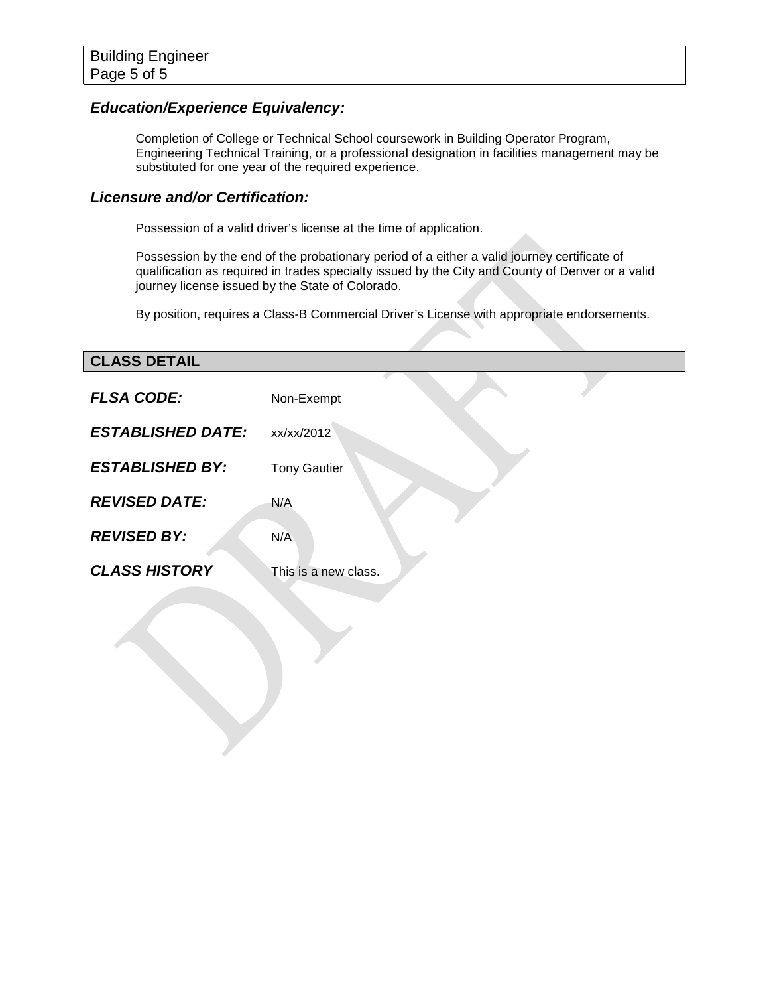# *Education/Experience Equivalency:*

Completion of College or Technical School coursework in Building Operator Program, Engineering Technical Training, or a professional designation in facilities management may be substituted for one year of the required experience.

#### *Licensure and/or Certification:*

Possession of a valid driver's license at the time of application.

Possession by the end of the probationary period of a either a valid journey certificate of qualification as required in trades specialty issued by the City and County of Denver or a valid journey license issued by the State of Colorado.

By position, requires a Class-B Commercial Driver's License with appropriate endorsements.

# **CLASS DETAIL**

| <b>FLSA CODE:</b>        | Non-Exempt           |
|--------------------------|----------------------|
| <b>ESTABLISHED DATE:</b> | xx/xx/2012           |
| <b>ESTABLISHED BY:</b>   | <b>Tony Gautier</b>  |
| <b>REVISED DATE:</b>     | N/A                  |
| <b>REVISED BY:</b>       | N/A                  |
| <b>CLASS HISTORY</b>     | This is a new class. |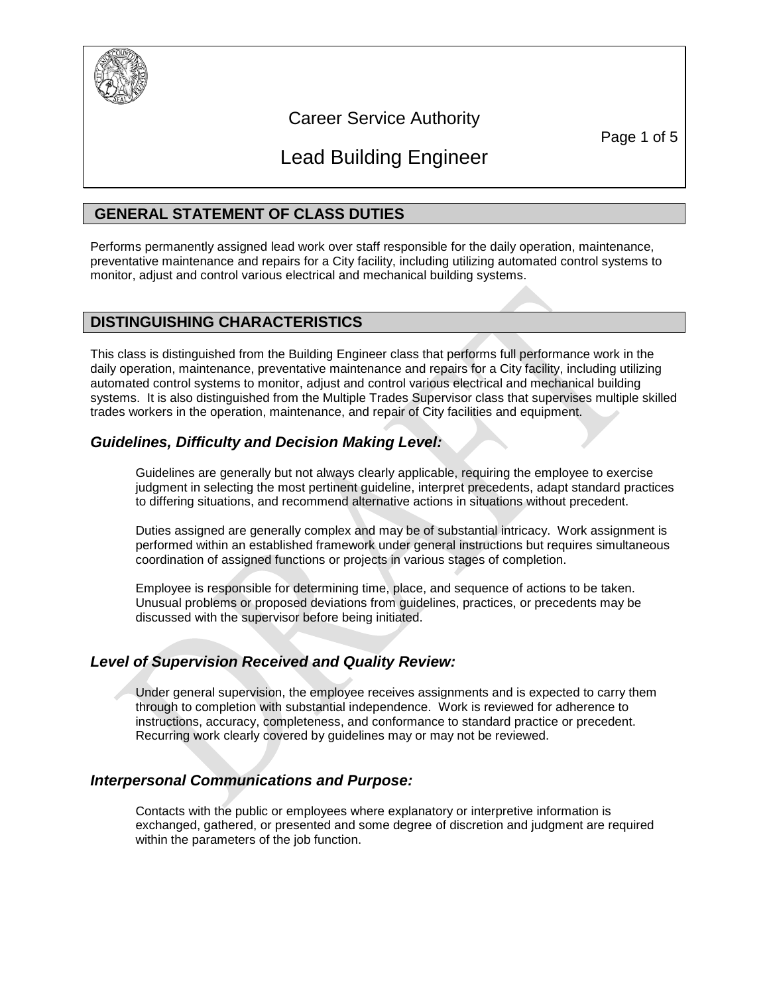

# Career Service Authority

Page 1 of 5

# Lead Building Engineer

# **GENERAL STATEMENT OF CLASS DUTIES**

Performs permanently assigned lead work over staff responsible for the daily operation, maintenance, preventative maintenance and repairs for a City facility, including utilizing automated control systems to monitor, adjust and control various electrical and mechanical building systems.

# **DISTINGUISHING CHARACTERISTICS**

This class is distinguished from the Building Engineer class that performs full performance work in the daily operation, maintenance, preventative maintenance and repairs for a City facility, including utilizing automated control systems to monitor, adjust and control various electrical and mechanical building systems. It is also distinguished from the Multiple Trades Supervisor class that supervises multiple skilled trades workers in the operation, maintenance, and repair of City facilities and equipment.

# *Guidelines, Difficulty and Decision Making Level:*

Guidelines are generally but not always clearly applicable, requiring the employee to exercise judgment in selecting the most pertinent guideline, interpret precedents, adapt standard practices to differing situations, and recommend alternative actions in situations without precedent.

Duties assigned are generally complex and may be of substantial intricacy. Work assignment is performed within an established framework under general instructions but requires simultaneous coordination of assigned functions or projects in various stages of completion.

Employee is responsible for determining time, place, and sequence of actions to be taken. Unusual problems or proposed deviations from guidelines, practices, or precedents may be discussed with the supervisor before being initiated.

# *Level of Supervision Received and Quality Review:*

Under general supervision, the employee receives assignments and is expected to carry them through to completion with substantial independence. Work is reviewed for adherence to instructions, accuracy, completeness, and conformance to standard practice or precedent. Recurring work clearly covered by guidelines may or may not be reviewed.

# *Interpersonal Communications and Purpose:*

Contacts with the public or employees where explanatory or interpretive information is exchanged, gathered, or presented and some degree of discretion and judgment are required within the parameters of the job function.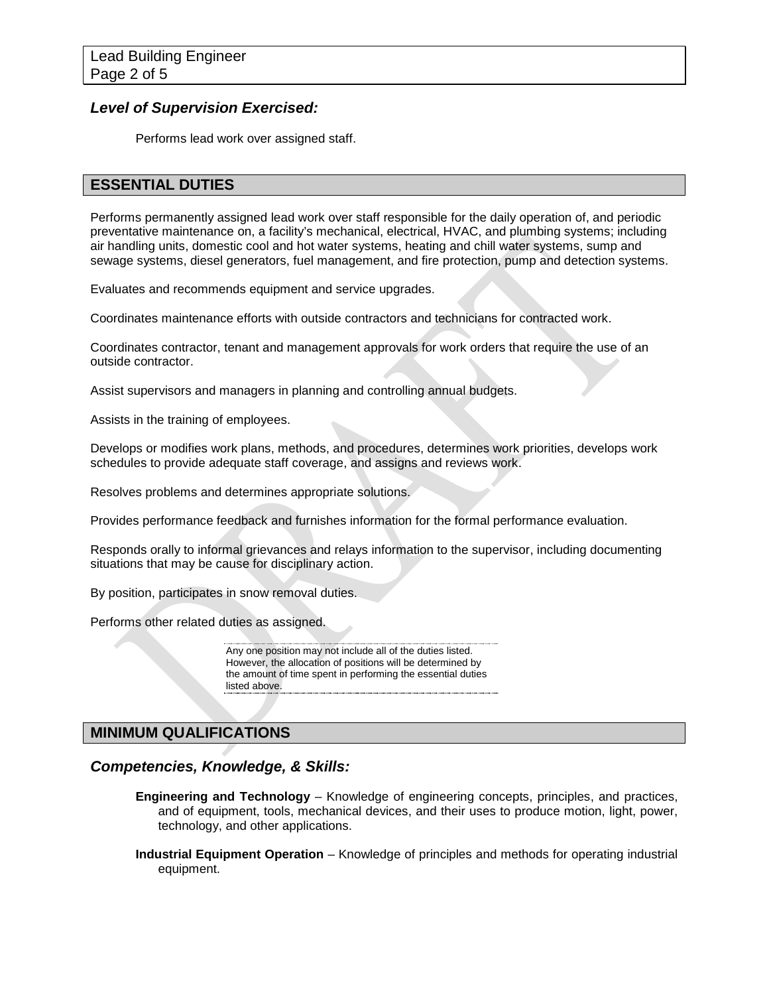#### *Level of Supervision Exercised:*

Performs lead work over assigned staff.

# **ESSENTIAL DUTIES**

Performs permanently assigned lead work over staff responsible for the daily operation of, and periodic preventative maintenance on, a facility's mechanical, electrical, HVAC, and plumbing systems; including air handling units, domestic cool and hot water systems, heating and chill water systems, sump and sewage systems, diesel generators, fuel management, and fire protection, pump and detection systems.

Evaluates and recommends equipment and service upgrades.

Coordinates maintenance efforts with outside contractors and technicians for contracted work.

Coordinates contractor, tenant and management approvals for work orders that require the use of an outside contractor.

Assist supervisors and managers in planning and controlling annual budgets.

Assists in the training of employees.

Develops or modifies work plans, methods, and procedures, determines work priorities, develops work schedules to provide adequate staff coverage, and assigns and reviews work.

Resolves problems and determines appropriate solutions.

Provides performance feedback and furnishes information for the formal performance evaluation.

Responds orally to informal grievances and relays information to the supervisor, including documenting situations that may be cause for disciplinary action.

By position, participates in snow removal duties.

Performs other related duties as assigned.

Any one position may not include all of the duties listed. However, the allocation of positions will be determined by the amount of time spent in performing the essential duties listed above.

# **MINIMUM QUALIFICATIONS**

#### *Competencies, Knowledge, & Skills:*

- **Engineering and Technology** Knowledge of engineering concepts, principles, and practices, and of equipment, tools, mechanical devices, and their uses to produce motion, light, power, technology, and other applications.
- **Industrial Equipment Operation** Knowledge of principles and methods for operating industrial equipment.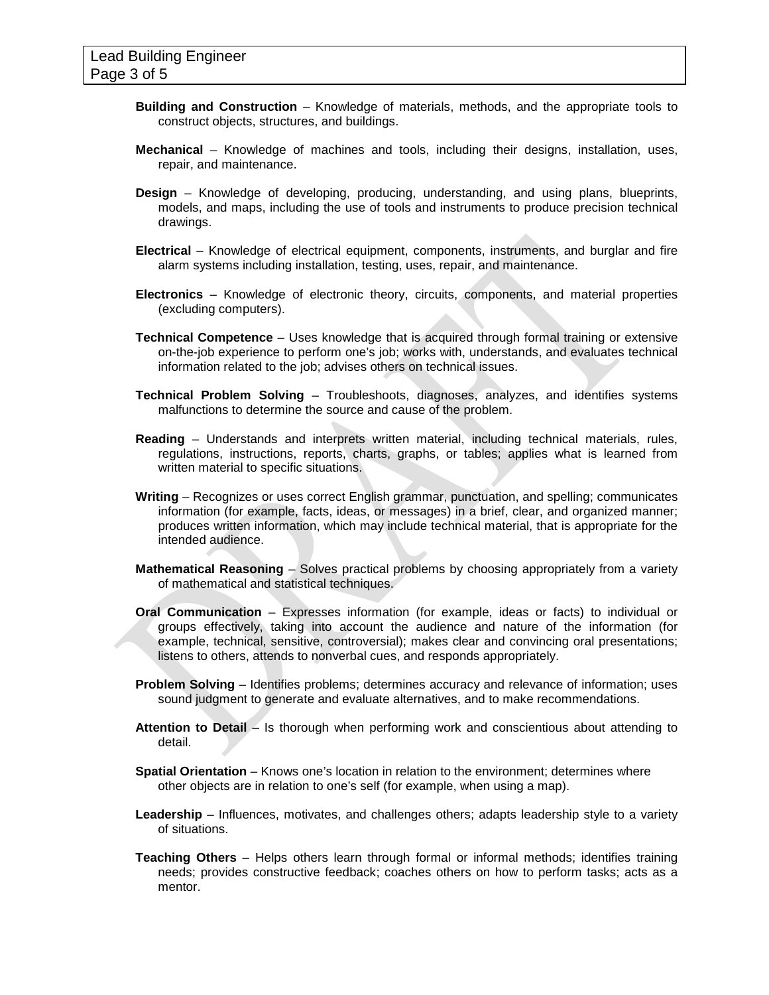- **Building and Construction** Knowledge of materials, methods, and the appropriate tools to construct objects, structures, and buildings.
- **Mechanical** Knowledge of machines and tools, including their designs, installation, uses, repair, and maintenance.
- **Design** Knowledge of developing, producing, understanding, and using plans, blueprints, models, and maps, including the use of tools and instruments to produce precision technical drawings.
- **Electrical** Knowledge of electrical equipment, components, instruments, and burglar and fire alarm systems including installation, testing, uses, repair, and maintenance.
- **Electronics** Knowledge of electronic theory, circuits, components, and material properties (excluding computers).
- **Technical Competence** Uses knowledge that is acquired through formal training or extensive on-the-job experience to perform one's job; works with, understands, and evaluates technical information related to the job; advises others on technical issues.
- **Technical Problem Solving** Troubleshoots, diagnoses, analyzes, and identifies systems malfunctions to determine the source and cause of the problem.
- **Reading**  Understands and interprets written material, including technical materials, rules, regulations, instructions, reports, charts, graphs, or tables; applies what is learned from written material to specific situations.
- **Writing** Recognizes or uses correct English grammar, punctuation, and spelling; communicates information (for example, facts, ideas, or messages) in a brief, clear, and organized manner; produces written information, which may include technical material, that is appropriate for the intended audience.
- **Mathematical Reasoning** Solves practical problems by choosing appropriately from a variety of mathematical and statistical techniques.
- **Oral Communication** Expresses information (for example, ideas or facts) to individual or groups effectively, taking into account the audience and nature of the information (for example, technical, sensitive, controversial); makes clear and convincing oral presentations; listens to others, attends to nonverbal cues, and responds appropriately.
- **Problem Solving** Identifies problems; determines accuracy and relevance of information; uses sound judgment to generate and evaluate alternatives, and to make recommendations.
- **Attention to Detail** Is thorough when performing work and conscientious about attending to detail.
- **Spatial Orientation** Knows one's location in relation to the environment; determines where other objects are in relation to one's self (for example, when using a map).
- **Leadership**  Influences, motivates, and challenges others; adapts leadership style to a variety of situations.
- **Teaching Others**  Helps others learn through formal or informal methods; identifies training needs; provides constructive feedback; coaches others on how to perform tasks; acts as a mentor.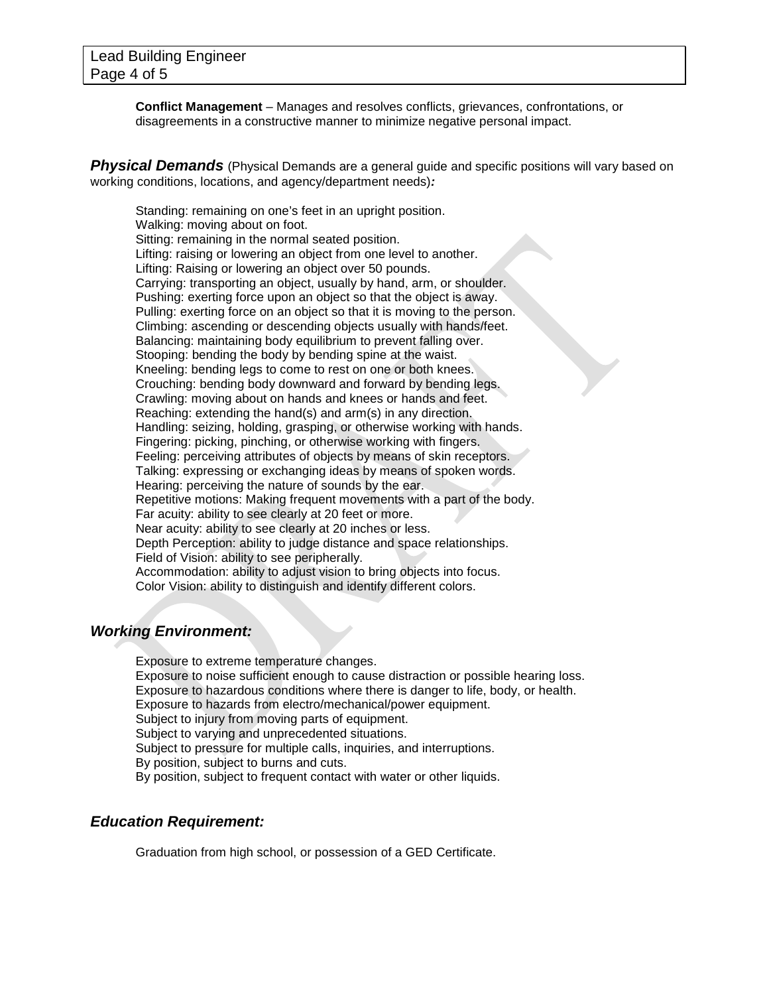**Conflict Management** – Manages and resolves conflicts, grievances, confrontations, or disagreements in a constructive manner to minimize negative personal impact.

**Physical Demands** (Physical Demands are a general guide and specific positions will vary based on working conditions, locations, and agency/department needs)*:*

Standing: remaining on one's feet in an upright position. Walking: moving about on foot. Sitting: remaining in the normal seated position. Lifting: raising or lowering an object from one level to another. Lifting: Raising or lowering an object over 50 pounds. Carrying: transporting an object, usually by hand, arm, or shoulder. Pushing: exerting force upon an object so that the object is away. Pulling: exerting force on an object so that it is moving to the person. Climbing: ascending or descending objects usually with hands/feet. Balancing: maintaining body equilibrium to prevent falling over. Stooping: bending the body by bending spine at the waist. Kneeling: bending legs to come to rest on one or both knees. Crouching: bending body downward and forward by bending legs. Crawling: moving about on hands and knees or hands and feet. Reaching: extending the hand(s) and arm(s) in any direction. Handling: seizing, holding, grasping, or otherwise working with hands. Fingering: picking, pinching, or otherwise working with fingers. Feeling: perceiving attributes of objects by means of skin receptors. Talking: expressing or exchanging ideas by means of spoken words. Hearing: perceiving the nature of sounds by the ear. Repetitive motions: Making frequent movements with a part of the body. Far acuity: ability to see clearly at 20 feet or more. Near acuity: ability to see clearly at 20 inches or less. Depth Perception: ability to judge distance and space relationships. Field of Vision: ability to see peripherally. Accommodation: ability to adjust vision to bring objects into focus. Color Vision: ability to distinguish and identify different colors.

# *Working Environment:*

Exposure to extreme temperature changes. Exposure to noise sufficient enough to cause distraction or possible hearing loss. Exposure to hazardous conditions where there is danger to life, body, or health. Exposure to hazards from electro/mechanical/power equipment. Subject to injury from moving parts of equipment. Subject to varying and unprecedented situations. Subject to pressure for multiple calls, inquiries, and interruptions. By position, subject to burns and cuts. By position, subject to frequent contact with water or other liquids.

#### *Education Requirement:*

Graduation from high school, or possession of a GED Certificate.